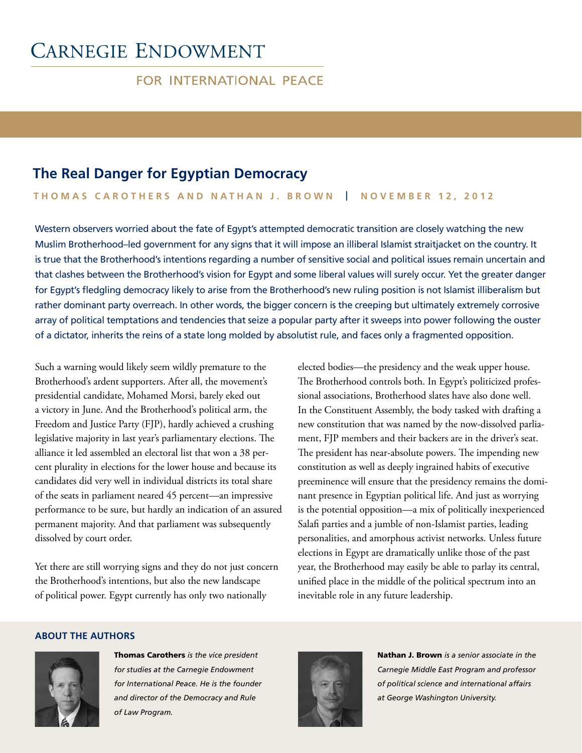# **CARNEGIE ENDOWMENT**

# **FOR INTERNATIONAL PEACE**

# **The Real Danger for Egyptian Democracy**

## **T ho m as C arothers a nd Natha n J. B ro wn | N OVE M BER 12, 2012**

Western observers worried about the fate of Egypt's attempted democratic transition are closely watching the new Muslim Brotherhood–led government for any signs that it will impose an illiberal Islamist straitjacket on the country. It is true that the Brotherhood's intentions regarding a number of sensitive social and political issues remain uncertain and that clashes between the Brotherhood's vision for Egypt and some liberal values will surely occur. Yet the greater danger for Egypt's fledgling democracy likely to arise from the Brotherhood's new ruling position is not Islamist illiberalism but rather dominant party overreach. In other words, the bigger concern is the creeping but ultimately extremely corrosive array of political temptations and tendencies that seize a popular party after it sweeps into power following the ouster of a dictator, inherits the reins of a state long molded by absolutist rule, and faces only a fragmented opposition.

Such a warning would likely seem wildly premature to the Brotherhood's ardent supporters. After all, the movement's presidential candidate, Mohamed Morsi, barely eked out a victory in June. And the Brotherhood's political arm, the Freedom and Justice Party (FJP), hardly achieved a crushing legislative majority in last year's parliamentary elections. The alliance it led assembled an electoral list that won a 38 percent plurality in elections for the lower house and because its candidates did very well in individual districts its total share of the seats in parliament neared 45 percent—an impressive performance to be sure, but hardly an indication of an assured permanent majority. And that parliament was subsequently dissolved by court order.

Yet there are still worrying signs and they do not just concern the Brotherhood's intentions, but also the new landscape of political power. Egypt currently has only two nationally

elected bodies—the presidency and the weak upper house. The Brotherhood controls both. In Egypt's politicized professional associations, Brotherhood slates have also done well. In the Constituent Assembly, the body tasked with drafting a new constitution that was named by the now-dissolved parliament, FJP members and their backers are in the driver's seat. The president has near-absolute powers. The impending new constitution as well as deeply ingrained habits of executive preeminence will ensure that the presidency remains the dominant presence in Egyptian political life. And just as worrying is the potential opposition—a mix of politically inexperienced Salafi parties and a jumble of non-Islamist parties, leading personalities, and amorphous activist networks. Unless future elections in Egypt are dramatically unlike those of the past year, the Brotherhood may easily be able to parlay its central, unified place in the middle of the political spectrum into an inevitable role in any future leadership.

#### **ABOUT THE AUTHORS**



Thomas Carothers *is the vice president for studies at the Carnegie Endowment for International Peace. He is the founder and director of the Democracy and Rule of Law Program.* 



Nathan J. Brown *is a senior associate in the Carnegie Middle East Program and professor of political science and international affairs at George Washington University.*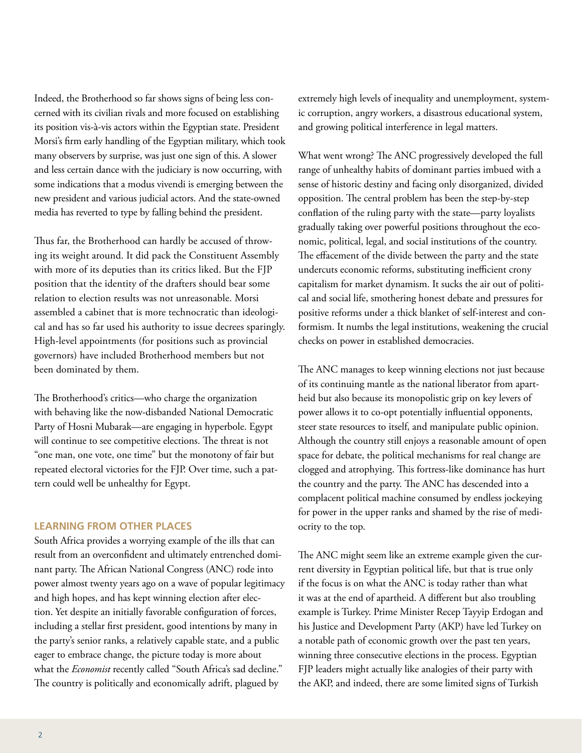Indeed, the Brotherhood so far shows signs of being less concerned with its civilian rivals and more focused on establishing its position vis-à-vis actors within the Egyptian state. President Morsi's firm early handling of the Egyptian military, which took many observers by surprise, was just one sign of this. A slower and less certain dance with the judiciary is now occurring, with some indications that a modus vivendi is emerging between the new president and various judicial actors. And the state-owned media has reverted to type by falling behind the president.

Thus far, the Brotherhood can hardly be accused of throwing its weight around. It did pack the Constituent Assembly with more of its deputies than its critics liked. But the FJP position that the identity of the drafters should bear some relation to election results was not unreasonable. Morsi assembled a cabinet that is more technocratic than ideological and has so far used his authority to issue decrees sparingly. High-level appointments (for positions such as provincial governors) have included Brotherhood members but not been dominated by them.

The Brotherhood's critics—who charge the organization with behaving like the now-disbanded National Democratic Party of Hosni Mubarak—are engaging in hyperbole. Egypt will continue to see competitive elections. The threat is not "one man, one vote, one time" but the monotony of fair but repeated electoral victories for the FJP. Over time, such a pattern could well be unhealthy for Egypt.

### **Learning From Other Places**

South Africa provides a worrying example of the ills that can result from an overconfident and ultimately entrenched dominant party. The African National Congress (ANC) rode into power almost twenty years ago on a wave of popular legitimacy and high hopes, and has kept winning election after election. Yet despite an initially favorable configuration of forces, including a stellar first president, good intentions by many in the party's senior ranks, a relatively capable state, and a public eager to embrace change, the picture today is more about what the *Economist* recently called "South Africa's sad decline." The country is politically and economically adrift, plagued by

extremely high levels of inequality and unemployment, systemic corruption, angry workers, a disastrous educational system, and growing political interference in legal matters.

What went wrong? The ANC progressively developed the full range of unhealthy habits of dominant parties imbued with a sense of historic destiny and facing only disorganized, divided opposition. The central problem has been the step-by-step conflation of the ruling party with the state—party loyalists gradually taking over powerful positions throughout the economic, political, legal, and social institutions of the country. The effacement of the divide between the party and the state undercuts economic reforms, substituting inefficient crony capitalism for market dynamism. It sucks the air out of political and social life, smothering honest debate and pressures for positive reforms under a thick blanket of self-interest and conformism. It numbs the legal institutions, weakening the crucial checks on power in established democracies.

The ANC manages to keep winning elections not just because of its continuing mantle as the national liberator from apartheid but also because its monopolistic grip on key levers of power allows it to co-opt potentially influential opponents, steer state resources to itself, and manipulate public opinion. Although the country still enjoys a reasonable amount of open space for debate, the political mechanisms for real change are clogged and atrophying. This fortress-like dominance has hurt the country and the party. The ANC has descended into a complacent political machine consumed by endless jockeying for power in the upper ranks and shamed by the rise of mediocrity to the top.

The ANC might seem like an extreme example given the current diversity in Egyptian political life, but that is true only if the focus is on what the ANC is today rather than what it was at the end of apartheid. A different but also troubling example is Turkey. Prime Minister Recep Tayyip Erdogan and his Justice and Development Party (AKP) have led Turkey on a notable path of economic growth over the past ten years, winning three consecutive elections in the process. Egyptian FJP leaders might actually like analogies of their party with the AKP, and indeed, there are some limited signs of Turkish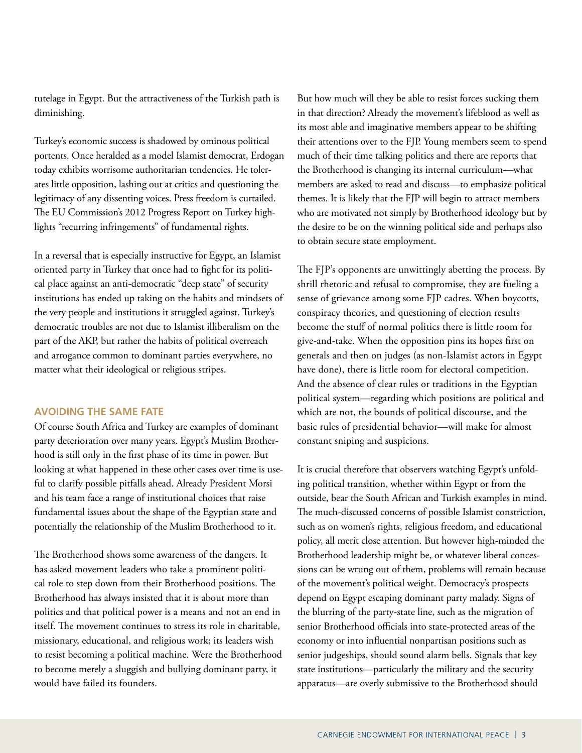tutelage in Egypt. But the attractiveness of the Turkish path is diminishing.

Turkey's economic success is shadowed by ominous political portents. Once heralded as a model Islamist democrat, Erdogan today exhibits worrisome authoritarian tendencies. He tolerates little opposition, lashing out at critics and questioning the legitimacy of any dissenting voices. Press freedom is curtailed. The EU Commission's 2012 Progress Report on Turkey highlights "recurring infringements" of fundamental rights.

In a reversal that is especially instructive for Egypt, an Islamist oriented party in Turkey that once had to fight for its political place against an anti-democratic "deep state" of security institutions has ended up taking on the habits and mindsets of the very people and institutions it struggled against. Turkey's democratic troubles are not due to Islamist illiberalism on the part of the AKP, but rather the habits of political overreach and arrogance common to dominant parties everywhere, no matter what their ideological or religious stripes.

#### **Avoiding the Same Fate**

Of course South Africa and Turkey are examples of dominant party deterioration over many years. Egypt's Muslim Brotherhood is still only in the first phase of its time in power. But looking at what happened in these other cases over time is useful to clarify possible pitfalls ahead. Already President Morsi and his team face a range of institutional choices that raise fundamental issues about the shape of the Egyptian state and potentially the relationship of the Muslim Brotherhood to it.

The Brotherhood shows some awareness of the dangers. It has asked movement leaders who take a prominent political role to step down from their Brotherhood positions. The Brotherhood has always insisted that it is about more than politics and that political power is a means and not an end in itself. The movement continues to stress its role in charitable, missionary, educational, and religious work; its leaders wish to resist becoming a political machine. Were the Brotherhood to become merely a sluggish and bullying dominant party, it would have failed its founders.

But how much will they be able to resist forces sucking them in that direction? Already the movement's lifeblood as well as its most able and imaginative members appear to be shifting their attentions over to the FJP. Young members seem to spend much of their time talking politics and there are reports that the Brotherhood is changing its internal curriculum—what members are asked to read and discuss—to emphasize political themes. It is likely that the FJP will begin to attract members who are motivated not simply by Brotherhood ideology but by the desire to be on the winning political side and perhaps also to obtain secure state employment.

The FJP's opponents are unwittingly abetting the process. By shrill rhetoric and refusal to compromise, they are fueling a sense of grievance among some FJP cadres. When boycotts, conspiracy theories, and questioning of election results become the stuff of normal politics there is little room for give-and-take. When the opposition pins its hopes first on generals and then on judges (as non-Islamist actors in Egypt have done), there is little room for electoral competition. And the absence of clear rules or traditions in the Egyptian political system—regarding which positions are political and which are not, the bounds of political discourse, and the basic rules of presidential behavior—will make for almost constant sniping and suspicions.

It is crucial therefore that observers watching Egypt's unfolding political transition, whether within Egypt or from the outside, bear the South African and Turkish examples in mind. The much-discussed concerns of possible Islamist constriction, such as on women's rights, religious freedom, and educational policy, all merit close attention. But however high-minded the Brotherhood leadership might be, or whatever liberal concessions can be wrung out of them, problems will remain because of the movement's political weight. Democracy's prospects depend on Egypt escaping dominant party malady. Signs of the blurring of the party-state line, such as the migration of senior Brotherhood officials into state-protected areas of the economy or into influential nonpartisan positions such as senior judgeships, should sound alarm bells. Signals that key state institutions—particularly the military and the security apparatus—are overly submissive to the Brotherhood should